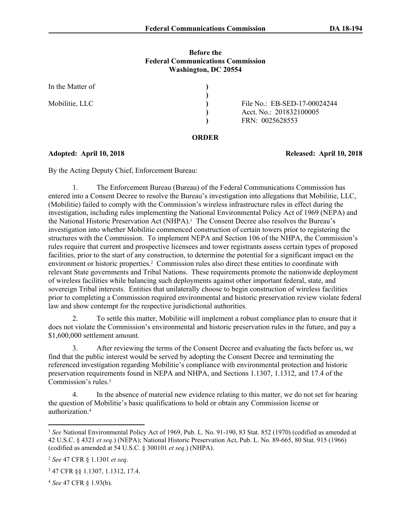### **Before the Federal Communications Commission Washington, DC 20554**

| In the Matter of |                              |
|------------------|------------------------------|
|                  |                              |
| Mobilitie, LLC   | File No.: EB-SED-17-00024244 |
|                  | Acct. No.: 201832100005      |
|                  | FRN: 0025628553              |

#### **ORDER**

**Adopted: April 10, 2018 Released: April 10, 2018**

By the Acting Deputy Chief, Enforcement Bureau:

1. The Enforcement Bureau (Bureau) of the Federal Communications Commission has entered into a Consent Decree to resolve the Bureau's investigation into allegations that Mobilitie, LLC, (Mobilitie) failed to comply with the Commission's wireless infrastructure rules in effect during the investigation, including rules implementing the National Environmental Policy Act of 1969 (NEPA) and the National Historic Preservation Act (NHPA).<sup>1</sup> The Consent Decree also resolves the Bureau's investigation into whether Mobilitie commenced construction of certain towers prior to registering the structures with the Commission. To implement NEPA and Section 106 of the NHPA, the Commission's rules require that current and prospective licensees and tower registrants assess certain types of proposed facilities, prior to the start of any construction, to determine the potential for a significant impact on the environment or historic properties.<sup>2</sup> Commission rules also direct these entities to coordinate with relevant State governments and Tribal Nations. These requirements promote the nationwide deployment of wireless facilities while balancing such deployments against other important federal, state, and sovereign Tribal interests. Entities that unilaterally choose to begin construction of wireless facilities prior to completing a Commission required environmental and historic preservation review violate federal law and show contempt for the respective jurisdictional authorities.

2. To settle this matter, Mobilitie will implement a robust compliance plan to ensure that it does not violate the Commission's environmental and historic preservation rules in the future, and pay a \$1,600,000 settlement amount.

3. After reviewing the terms of the Consent Decree and evaluating the facts before us, we find that the public interest would be served by adopting the Consent Decree and terminating the referenced investigation regarding Mobilitie's compliance with environmental protection and historic preservation requirements found in NEPA and NHPA, and Sections 1.1307, 1.1312, and 17.4 of the Commission's rules.<sup>3</sup>

4. In the absence of material new evidence relating to this matter, we do not set for hearing the question of Mobilitie's basic qualifications to hold or obtain any Commission license or authorization.<sup>4</sup>

<sup>1</sup> *See* National Environmental Policy Act of 1969, Pub. L. No. 91-190, 83 Stat. 852 (1970) (codified as amended at 42 U.S.C. § 4321 *et seq.*) (NEPA); National Historic Preservation Act, Pub. L. No. 89-665, 80 Stat. 915 (1966) (codified as amended at 54 U.S.C. § 300101 *et seq*.) (NHPA).

<sup>2</sup> *See* 47 CFR § 1.1301 *et seq*.

<sup>3</sup> 47 CFR §§ 1.1307, 1.1312, 17.4.

<sup>4</sup> *See* 47 CFR § 1.93(b).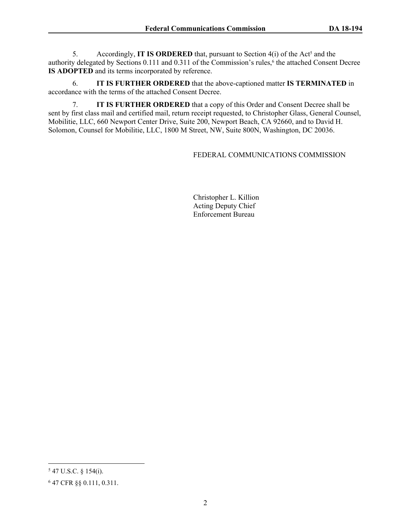5. Accordingly, **IT IS ORDERED** that, pursuant to Section 4(i) of the Act<sup>5</sup> and the authority delegated by Sections 0.111 and 0.311 of the Commission's rules,<sup>6</sup> the attached Consent Decree **IS ADOPTED** and its terms incorporated by reference.

6. **IT IS FURTHER ORDERED** that the above-captioned matter **IS TERMINATED** in accordance with the terms of the attached Consent Decree.

7. **IT IS FURTHER ORDERED** that a copy of this Order and Consent Decree shall be sent by first class mail and certified mail, return receipt requested, to Christopher Glass, General Counsel, Mobilitie, LLC, 660 Newport Center Drive, Suite 200, Newport Beach, CA 92660, and to David H. Solomon, Counsel for Mobilitie, LLC, 1800 M Street, NW, Suite 800N, Washington, DC 20036.

# FEDERAL COMMUNICATIONS COMMISSION

Christopher L. Killion Acting Deputy Chief Enforcement Bureau

<sup>5</sup> 47 U.S.C. § 154(i).

<sup>6</sup> 47 CFR §§ 0.111, 0.311.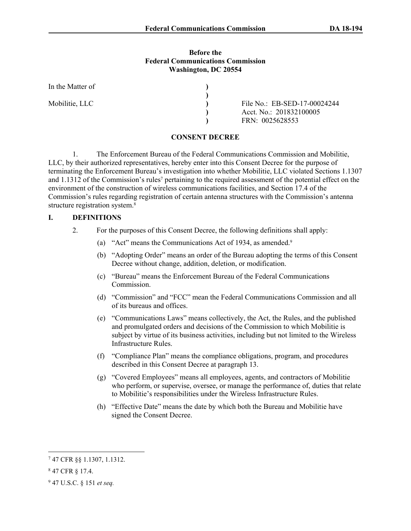#### **Before the Federal Communications Commission Washington, DC 20554**

| In the Matter of |                              |
|------------------|------------------------------|
|                  |                              |
| Mobilitie, LLC   | File No.: EB-SED-17-00024244 |
|                  | Acct. No.: 201832100005      |
|                  | FRN: 0025628553              |

#### **CONSENT DECREE**

1. The Enforcement Bureau of the Federal Communications Commission and Mobilitie, LLC, by their authorized representatives, hereby enter into this Consent Decree for the purpose of terminating the Enforcement Bureau's investigation into whether Mobilitie, LLC violated Sections 1.1307 and 1.1312 of the Commission's rules<sup>7</sup> pertaining to the required assessment of the potential effect on the environment of the construction of wireless communications facilities, and Section 17.4 of the Commission's rules regarding registration of certain antenna structures with the Commission's antenna structure registration system.<sup>8</sup>

### **I. DEFINITIONS**

- 2. For the purposes of this Consent Decree, the following definitions shall apply:
	- (a) "Act" means the Communications Act of 1934, as amended.<sup>9</sup>
	- (b) "Adopting Order" means an order of the Bureau adopting the terms of this Consent Decree without change, addition, deletion, or modification.
	- (c) "Bureau" means the Enforcement Bureau of the Federal Communications Commission.
	- (d) "Commission" and "FCC" mean the Federal Communications Commission and all of its bureaus and offices.
	- (e) "Communications Laws" means collectively, the Act, the Rules, and the published and promulgated orders and decisions of the Commission to which Mobilitie is subject by virtue of its business activities, including but not limited to the Wireless Infrastructure Rules.
	- (f) "Compliance Plan" means the compliance obligations, program, and procedures described in this Consent Decree at paragraph 13.
	- (g) "Covered Employees" means all employees, agents, and contractors of Mobilitie who perform, or supervise, oversee, or manage the performance of, duties that relate to Mobilitie's responsibilities under the Wireless Infrastructure Rules.
	- (h) "Effective Date" means the date by which both the Bureau and Mobilitie have signed the Consent Decree.

<sup>7</sup> 47 CFR §§ 1.1307, 1.1312.

<sup>8</sup> 47 CFR § 17.4.

<sup>9</sup> 47 U.S.C. § 151 *et seq.*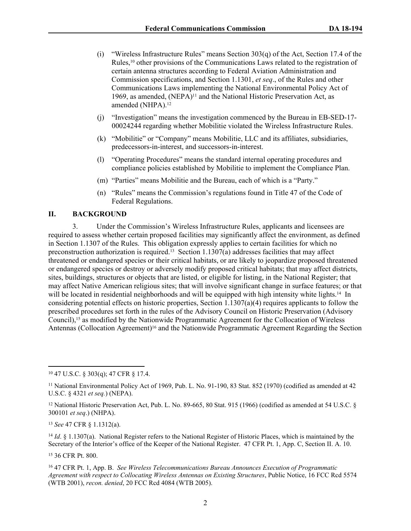- (i) "Wireless Infrastructure Rules" means Section 303(q) of the Act, Section 17.4 of the Rules,10 other provisions of the Communications Laws related to the registration of certain antenna structures according to Federal Aviation Administration and Commission specifications, and Section 1.1301, *et seq*., of the Rules and other Communications Laws implementing the National Environmental Policy Act of 1969, as amended, (NEPA)<sup>11</sup> and the National Historic Preservation Act, as amended (NHPA).<sup>12</sup>
- (j) "Investigation" means the investigation commenced by the Bureau in EB-SED-17- 00024244 regarding whether Mobilitie violated the Wireless Infrastructure Rules.
- (k) "Mobilitie" or "Company" means Mobilitie, LLC and its affiliates, subsidiaries, predecessors-in-interest, and successors-in-interest.
- (l) "Operating Procedures" means the standard internal operating procedures and compliance policies established by Mobilitie to implement the Compliance Plan.
- (m) "Parties" means Mobilitie and the Bureau, each of which is a "Party."
- (n) "Rules" means the Commission's regulations found in Title 47 of the Code of Federal Regulations.

## **II. BACKGROUND**

3. Under the Commission's Wireless Infrastructure Rules, applicants and licensees are required to assess whether certain proposed facilities may significantly affect the environment, as defined in Section 1.1307 of the Rules. This obligation expressly applies to certain facilities for which no preconstruction authorization is required.13 Section 1.1307(a) addresses facilities that may affect threatened or endangered species or their critical habitats, or are likely to jeopardize proposed threatened or endangered species or destroy or adversely modify proposed critical habitats; that may affect districts, sites, buildings, structures or objects that are listed, or eligible for listing, in the National Register; that may affect Native American religious sites; that will involve significant change in surface features; or that will be located in residential neighborhoods and will be equipped with high intensity white lights.<sup>14</sup> In considering potential effects on historic properties, Section 1.1307(a)(4) requires applicants to follow the prescribed procedures set forth in the rules of the Advisory Council on Historic Preservation (Advisory Council),15 as modified by the Nationwide Programmatic Agreement for the Collocation of Wireless Antennas (Collocation Agreement)16 and the Nationwide Programmatic Agreement Regarding the Section

<sup>13</sup> *See* 47 CFR § 1.1312(a).

<sup>14</sup> *Id.* § 1.1307(a). National Register refers to the National Register of Historic Places, which is maintained by the Secretary of the Interior's office of the Keeper of the National Register. 47 CFR Pt. 1, App. C, Section II. A. 10.

<sup>15</sup> 36 CFR Pt. 800.

<sup>16</sup> 47 CFR Pt. 1, App. B. *See Wireless Telecommunications Bureau Announces Execution of Programmatic Agreement with respect to Collocating Wireless Antennas on Existing Structures*, Public Notice, 16 FCC Rcd 5574 (WTB 2001), *recon. denied*, 20 FCC Rcd 4084 (WTB 2005).

<sup>10</sup> 47 U.S.C. § 303(q); 47 CFR § 17.4.

<sup>&</sup>lt;sup>11</sup> National Environmental Policy Act of 1969, Pub. L. No. 91-190, 83 Stat. 852 (1970) (codified as amended at 42 U.S.C. § 4321 *et seq.*) (NEPA).

<sup>12</sup> National Historic Preservation Act, Pub. L. No. 89-665, 80 Stat. 915 (1966) (codified as amended at 54 U.S.C. § 300101 *et seq*.) (NHPA).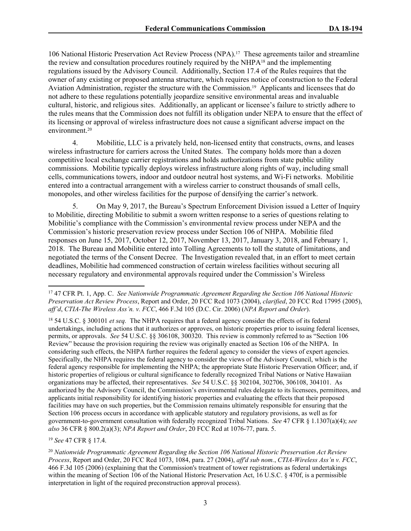106 National Historic Preservation Act Review Process (NPA).17 These agreements tailor and streamline the review and consultation procedures routinely required by the NHPA18 and the implementing regulations issued by the Advisory Council. Additionally, Section 17.4 of the Rules requires that the owner of any existing or proposed antenna structure, which requires notice of construction to the Federal Aviation Administration, register the structure with the Commission.19 Applicants and licensees that do not adhere to these regulations potentially jeopardize sensitive environmental areas and invaluable cultural, historic, and religious sites. Additionally, an applicant or licensee's failure to strictly adhere to the rules means that the Commission does not fulfill its obligation under NEPA to ensure that the effect of its licensing or approval of wireless infrastructure does not cause a significant adverse impact on the environment.<sup>20</sup>

4. Mobilitie, LLC is a privately held, non-licensed entity that constructs, owns, and leases wireless infrastructure for carriers across the United States. The company holds more than a dozen competitive local exchange carrier registrations and holds authorizations from state public utility commissions. Mobilitie typically deploys wireless infrastructure along rights of way, including small cells, communications towers, indoor and outdoor neutral host systems, and Wi-Fi networks. Mobilitie entered into a contractual arrangement with a wireless carrier to construct thousands of small cells, monopoles, and other wireless facilities for the purpose of densifying the carrier's network.

5. On May 9, 2017, the Bureau's Spectrum Enforcement Division issued a Letter of Inquiry to Mobilitie, directing Mobilitie to submit a sworn written response to a series of questions relating to Mobilitie's compliance with the Commission's environmental review process under NEPA and the Commission's historic preservation review process under Section 106 of NHPA. Mobilitie filed responses on June 15, 2017, October 12, 2017, November 13, 2017, January 3, 2018, and February 1, 2018. The Bureau and Mobilitie entered into Tolling Agreements to toll the statute of limitations, and negotiated the terms of the Consent Decree. The Investigation revealed that, in an effort to meet certain deadlines, Mobilitie had commenced construction of certain wireless facilities without securing all necessary regulatory and environmental approvals required under the Commission's Wireless

<sup>18</sup> 54 U.S.C. § 300101 *et seq.* The NHPA requires that a federal agency consider the effects of its federal undertakings, including actions that it authorizes or approves, on historic properties prior to issuing federal licenses, permits, or approvals. *See* 54 U.S.C. §§ 306108, 300320. This review is commonly referred to as "Section 106 Review" because the provision requiring the review was originally enacted as Section 106 of the NHPA. In considering such effects, the NHPA further requires the federal agency to consider the views of expert agencies. Specifically, the NHPA requires the federal agency to consider the views of the Advisory Council, which is the federal agency responsible for implementing the NHPA; the appropriate State Historic Preservation Officer; and, if historic properties of religious or cultural significance to federally recognized Tribal Nations or Native Hawaiian organizations may be affected, their representatives. *See* 54 U.S.C. §§ 302104, 302706, 306108, 304101. As authorized by the Advisory Council, the Commission's environmental rules delegate to its licensees, permittees, and applicants initial responsibility for identifying historic properties and evaluating the effects that their proposed facilities may have on such properties, but the Commission remains ultimately responsible for ensuring that the Section 106 process occurs in accordance with applicable statutory and regulatory provisions, as well as for government-to-government consultation with federally recognized Tribal Nations. *See* 47 CFR § 1.1307(a)(4); *see also* 36 CFR § 800.2(a)(3); *NPA Report and Order*, 20 FCC Rcd at 1076-77, para. 5.

<sup>19</sup> *See* 47 CFR § 17.4.

<sup>20</sup> *Nationwide Programmatic Agreement Regarding the Section 106 National Historic Preservation Act Review Process*, Report and Order, 20 FCC Rcd 1073, 1084, para. 27 (2004), *aff'd sub nom.*, *CTIA-Wireless Ass'n v. FCC*, 466 F.3d 105 (2006) (explaining that the Commission's treatment of tower registrations as federal undertakings within the meaning of Section 106 of the National Historic Preservation Act, 16 U.S.C. § 470f, is a permissible interpretation in light of the required preconstruction approval process).

<sup>17</sup> 47 CFR Pt. 1, App. C. *See Nationwide Programmatic Agreement Regarding the Section 106 National Historic Preservation Act Review Process*, Report and Order, 20 FCC Rcd 1073 (2004), *clarified*, 20 FCC Rcd 17995 (2005), *aff'd*, *CTIA-The Wireless Ass'n. v. FCC*, 466 F.3d 105 (D.C. Cir. 2006) (*NPA Report and Order*).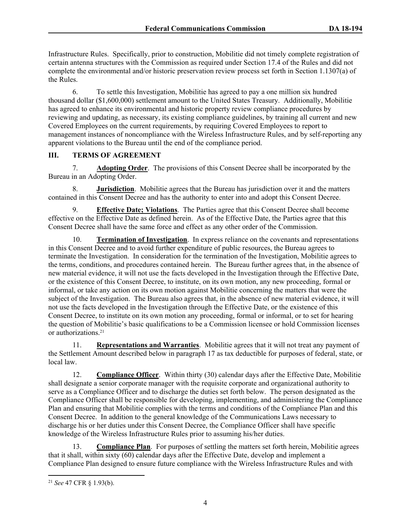Infrastructure Rules. Specifically, prior to construction, Mobilitie did not timely complete registration of certain antenna structures with the Commission as required under Section 17.4 of the Rules and did not complete the environmental and/or historic preservation review process set forth in Section 1.1307(a) of the Rules.

6. To settle this Investigation, Mobilitie has agreed to pay a one million six hundred thousand dollar (\$1,600,000) settlement amount to the United States Treasury. Additionally, Mobilitie has agreed to enhance its environmental and historic property review compliance procedures by reviewing and updating, as necessary, its existing compliance guidelines, by training all current and new Covered Employees on the current requirements, by requiring Covered Employees to report to management instances of noncompliance with the Wireless Infrastructure Rules, and by self-reporting any apparent violations to the Bureau until the end of the compliance period.

# **III. TERMS OF AGREEMENT**

7. **Adopting Order**. The provisions of this Consent Decree shall be incorporated by the Bureau in an Adopting Order.

8. **Jurisdiction**. Mobilitie agrees that the Bureau has jurisdiction over it and the matters contained in this Consent Decree and has the authority to enter into and adopt this Consent Decree.

9. **Effective Date; Violations**. The Parties agree that this Consent Decree shall become effective on the Effective Date as defined herein. As of the Effective Date, the Parties agree that this Consent Decree shall have the same force and effect as any other order of the Commission.

10. **Termination of Investigation**. In express reliance on the covenants and representations in this Consent Decree and to avoid further expenditure of public resources, the Bureau agrees to terminate the Investigation. In consideration for the termination of the Investigation, Mobilitie agrees to the terms, conditions, and procedures contained herein. The Bureau further agrees that, in the absence of new material evidence, it will not use the facts developed in the Investigation through the Effective Date, or the existence of this Consent Decree, to institute, on its own motion, any new proceeding, formal or informal, or take any action on its own motion against Mobilitie concerning the matters that were the subject of the Investigation. The Bureau also agrees that, in the absence of new material evidence, it will not use the facts developed in the Investigation through the Effective Date, or the existence of this Consent Decree, to institute on its own motion any proceeding, formal or informal, or to set for hearing the question of Mobilitie's basic qualifications to be a Commission licensee or hold Commission licenses or authorizations.<sup>21</sup>

11. **Representations and Warranties**. Mobilitie agrees that it will not treat any payment of the Settlement Amount described below in paragraph 17 as tax deductible for purposes of federal, state, or local law.

12. **Compliance Officer**. Within thirty (30) calendar days after the Effective Date, Mobilitie shall designate a senior corporate manager with the requisite corporate and organizational authority to serve as a Compliance Officer and to discharge the duties set forth below. The person designated as the Compliance Officer shall be responsible for developing, implementing, and administering the Compliance Plan and ensuring that Mobilitie complies with the terms and conditions of the Compliance Plan and this Consent Decree. In addition to the general knowledge of the Communications Laws necessary to discharge his or her duties under this Consent Decree, the Compliance Officer shall have specific knowledge of the Wireless Infrastructure Rules prior to assuming his/her duties.

13. **Compliance Plan**. For purposes of settling the matters set forth herein, Mobilitie agrees that it shall, within sixty (60) calendar days after the Effective Date, develop and implement a Compliance Plan designed to ensure future compliance with the Wireless Infrastructure Rules and with

<sup>21</sup> *See* 47 CFR § 1.93(b).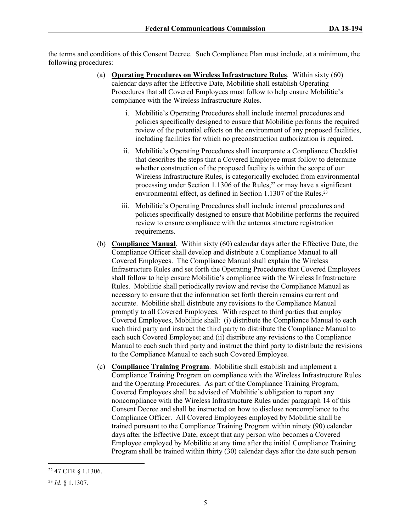the terms and conditions of this Consent Decree. Such Compliance Plan must include, at a minimum, the following procedures:

- (a) **Operating Procedures on Wireless Infrastructure Rules**. Within sixty (60) calendar days after the Effective Date, Mobilitie shall establish Operating Procedures that all Covered Employees must follow to help ensure Mobilitie's compliance with the Wireless Infrastructure Rules.
	- i. Mobilitie's Operating Procedures shall include internal procedures and policies specifically designed to ensure that Mobilitie performs the required review of the potential effects on the environment of any proposed facilities, including facilities for which no preconstruction authorization is required.
	- ii. Mobilitie's Operating Procedures shall incorporate a Compliance Checklist that describes the steps that a Covered Employee must follow to determine whether construction of the proposed facility is within the scope of our Wireless Infrastructure Rules, is categorically excluded from environmental processing under Section 1.1306 of the Rules,<sup>22</sup> or may have a significant environmental effect, as defined in Section 1.1307 of the Rules.<sup>23</sup>
	- iii. Mobilitie's Operating Procedures shall include internal procedures and policies specifically designed to ensure that Mobilitie performs the required review to ensure compliance with the antenna structure registration requirements.
- (b) **Compliance Manual**. Within sixty (60) calendar days after the Effective Date, the Compliance Officer shall develop and distribute a Compliance Manual to all Covered Employees. The Compliance Manual shall explain the Wireless Infrastructure Rules and set forth the Operating Procedures that Covered Employees shall follow to help ensure Mobilitie's compliance with the Wireless Infrastructure Rules. Mobilitie shall periodically review and revise the Compliance Manual as necessary to ensure that the information set forth therein remains current and accurate. Mobilitie shall distribute any revisions to the Compliance Manual promptly to all Covered Employees. With respect to third parties that employ Covered Employees, Mobilitie shall: (i) distribute the Compliance Manual to each such third party and instruct the third party to distribute the Compliance Manual to each such Covered Employee; and (ii) distribute any revisions to the Compliance Manual to each such third party and instruct the third party to distribute the revisions to the Compliance Manual to each such Covered Employee.
- (c) **Compliance Training Program**. Mobilitie shall establish and implement a Compliance Training Program on compliance with the Wireless Infrastructure Rules and the Operating Procedures. As part of the Compliance Training Program, Covered Employees shall be advised of Mobilitie's obligation to report any noncompliance with the Wireless Infrastructure Rules under paragraph 14 of this Consent Decree and shall be instructed on how to disclose noncompliance to the Compliance Officer. All Covered Employees employed by Mobilitie shall be trained pursuant to the Compliance Training Program within ninety (90) calendar days after the Effective Date, except that any person who becomes a Covered Employee employed by Mobilitie at any time after the initial Compliance Training Program shall be trained within thirty (30) calendar days after the date such person

<sup>22</sup> 47 CFR § 1.1306.

<sup>23</sup> *Id*. § 1.1307.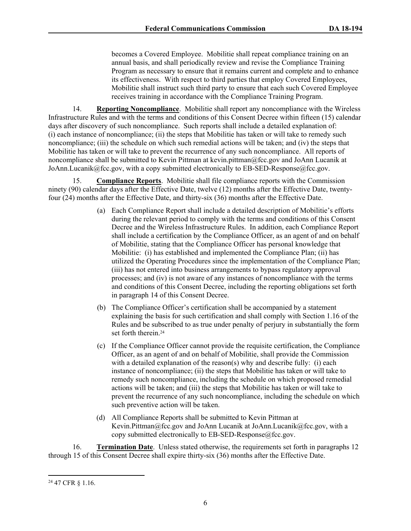becomes a Covered Employee. Mobilitie shall repeat compliance training on an annual basis, and shall periodically review and revise the Compliance Training Program as necessary to ensure that it remains current and complete and to enhance its effectiveness. With respect to third parties that employ Covered Employees, Mobilitie shall instruct such third party to ensure that each such Covered Employee receives training in accordance with the Compliance Training Program.

14. **Reporting Noncompliance**. Mobilitie shall report any noncompliance with the Wireless Infrastructure Rules and with the terms and conditions of this Consent Decree within fifteen (15) calendar days after discovery of such noncompliance. Such reports shall include a detailed explanation of: (i) each instance of noncompliance; (ii) the steps that Mobilitie has taken or will take to remedy such noncompliance; (iii) the schedule on which such remedial actions will be taken; and (iv) the steps that Mobilitie has taken or will take to prevent the recurrence of any such noncompliance. All reports of noncompliance shall be submitted to Kevin Pittman at kevin.pittman@fcc.gov and JoAnn Lucanik at JoAnn.Lucanik@fcc.gov, with a copy submitted electronically to EB-SED-Response@fcc.gov.

15. **Compliance Reports**. Mobilitie shall file compliance reports with the Commission ninety (90) calendar days after the Effective Date, twelve (12) months after the Effective Date, twentyfour (24) months after the Effective Date, and thirty-six (36) months after the Effective Date.

- (a) Each Compliance Report shall include a detailed description of Mobilitie's efforts during the relevant period to comply with the terms and conditions of this Consent Decree and the Wireless Infrastructure Rules. In addition, each Compliance Report shall include a certification by the Compliance Officer, as an agent of and on behalf of Mobilitie, stating that the Compliance Officer has personal knowledge that Mobilitie: (i) has established and implemented the Compliance Plan; (ii) has utilized the Operating Procedures since the implementation of the Compliance Plan; (iii) has not entered into business arrangements to bypass regulatory approval processes; and (iv) is not aware of any instances of noncompliance with the terms and conditions of this Consent Decree, including the reporting obligations set forth in paragraph 14 of this Consent Decree.
- (b) The Compliance Officer's certification shall be accompanied by a statement explaining the basis for such certification and shall comply with Section 1.16 of the Rules and be subscribed to as true under penalty of perjury in substantially the form set forth therein.<sup>24</sup>
- (c) If the Compliance Officer cannot provide the requisite certification, the Compliance Officer, as an agent of and on behalf of Mobilitie, shall provide the Commission with a detailed explanation of the reason(s) why and describe fully: (i) each instance of noncompliance; (ii) the steps that Mobilitie has taken or will take to remedy such noncompliance, including the schedule on which proposed remedial actions will be taken; and (iii) the steps that Mobilitie has taken or will take to prevent the recurrence of any such noncompliance, including the schedule on which such preventive action will be taken.
- (d) All Compliance Reports shall be submitted to Kevin Pittman at Kevin.Pittman@fcc.gov and JoAnn Lucanik at JoAnn.Lucanik@fcc.gov, with a copy submitted electronically to EB-SED-Response@fcc.gov.

16. **Termination Date**. Unless stated otherwise, the requirements set forth in paragraphs 12 through 15 of this Consent Decree shall expire thirty-six (36) months after the Effective Date.

<sup>24</sup> 47 CFR § 1.16.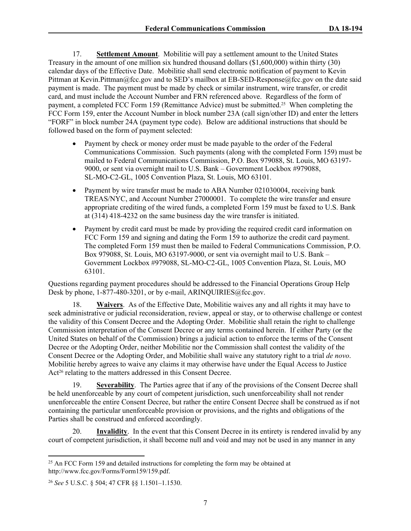17. **Settlement Amount**. Mobilitie will pay a settlement amount to the United States Treasury in the amount of one million six hundred thousand dollars (\$1,600,000) within thirty (30) calendar days of the Effective Date. Mobilitie shall send electronic notification of payment to Kevin Pittman at Kevin.Pittman@fcc.gov and to SED's mailbox at EB-SED-Response@fcc.gov on the date said payment is made. The payment must be made by check or similar instrument, wire transfer, or credit card, and must include the Account Number and FRN referenced above. Regardless of the form of payment, a completed FCC Form 159 (Remittance Advice) must be submitted.25 When completing the FCC Form 159, enter the Account Number in block number 23A (call sign/other ID) and enter the letters "FORF" in block number 24A (payment type code). Below are additional instructions that should be followed based on the form of payment selected:

- Payment by check or money order must be made payable to the order of the Federal Communications Commission. Such payments (along with the completed Form 159) must be mailed to Federal Communications Commission, P.O. Box 979088, St. Louis, MO 63197- 9000, or sent via overnight mail to U.S. Bank – Government Lockbox #979088, SL-MO-C2-GL, 1005 Convention Plaza, St. Louis, MO 63101.
- Payment by wire transfer must be made to ABA Number 021030004, receiving bank TREAS/NYC, and Account Number 27000001. To complete the wire transfer and ensure appropriate crediting of the wired funds, a completed Form 159 must be faxed to U.S. Bank at (314) 418-4232 on the same business day the wire transfer is initiated.
- Payment by credit card must be made by providing the required credit card information on FCC Form 159 and signing and dating the Form 159 to authorize the credit card payment. The completed Form 159 must then be mailed to Federal Communications Commission, P.O. Box 979088, St. Louis, MO 63197-9000, or sent via overnight mail to U.S. Bank – Government Lockbox #979088, SL-MO-C2-GL, 1005 Convention Plaza, St. Louis, MO 63101.

Questions regarding payment procedures should be addressed to the Financial Operations Group Help Desk by phone, 1-877-480-3201, or by e-mail, ARINOUIRIES@fcc.gov.

18. **Waivers**. As of the Effective Date, Mobilitie waives any and all rights it may have to seek administrative or judicial reconsideration, review, appeal or stay, or to otherwise challenge or contest the validity of this Consent Decree and the Adopting Order. Mobilitie shall retain the right to challenge Commission interpretation of the Consent Decree or any terms contained herein. If either Party (or the United States on behalf of the Commission) brings a judicial action to enforce the terms of the Consent Decree or the Adopting Order, neither Mobilitie nor the Commission shall contest the validity of the Consent Decree or the Adopting Order, and Mobilitie shall waive any statutory right to a trial *de novo*. Mobilitie hereby agrees to waive any claims it may otherwise have under the Equal Access to Justice Act<sup>26</sup> relating to the matters addressed in this Consent Decree.

19. **Severability**. The Parties agree that if any of the provisions of the Consent Decree shall be held unenforceable by any court of competent jurisdiction, such unenforceability shall not render unenforceable the entire Consent Decree, but rather the entire Consent Decree shall be construed as if not containing the particular unenforceable provision or provisions, and the rights and obligations of the Parties shall be construed and enforced accordingly.

20. **Invalidity**. In the event that this Consent Decree in its entirety is rendered invalid by any court of competent jurisdiction, it shall become null and void and may not be used in any manner in any

<sup>&</sup>lt;sup>25</sup> An FCC Form 159 and detailed instructions for completing the form may be obtained at http://www.fcc.gov/Forms/Form159/159.pdf.

<sup>26</sup> *See* 5 U.S.C. § 504; 47 CFR §§ 1.1501–1.1530.